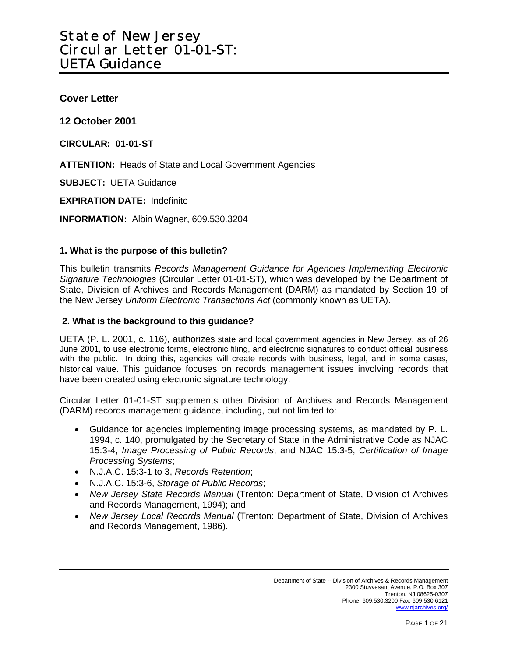**Cover Letter** 

**12 October 2001** 

**CIRCULAR: 01-01-ST** 

**ATTENTION:** Heads of State and Local Government Agencies

**SUBJECT:** UETA Guidance

**EXPIRATION DATE:** Indefinite

**INFORMATION:** Albin Wagner, 609.530.3204

#### **1. What is the purpose of this bulletin?**

This bulletin transmits *Records Management Guidance for Agencies Implementing Electronic Signature Technologies* (Circular Letter 01-01-ST), which was developed by the Department of State, Division of Archives and Records Management (DARM) as mandated by Section 19 of the New Jersey *Uniform Electronic Transactions Act* (commonly known as UETA).

#### **2. What is the background to this guidance?**

UETA (P. L. 2001, c. 116), authorizes state and local government agencies in New Jersey, as of 26 June 2001, to use electronic forms, electronic filing, and electronic signatures to conduct official business with the public. In doing this, agencies will create records with business, legal, and in some cases, historical value. This guidance focuses on records management issues involving records that have been created using electronic signature technology.

Circular Letter 01-01-ST supplements other Division of Archives and Records Management (DARM) records management guidance, including, but not limited to:

- Guidance for agencies implementing image processing systems, as mandated by P. L. 1994, c. 140, promulgated by the Secretary of State in the Administrative Code as NJAC 15:3-4, *Image Processing of Public Records*, and NJAC 15:3-5, *Certification of Image Processing Systems*;
- N.J.A.C. 15:3-1 to 3, *Records Retention*;
- N.J.A.C. 15:3-6, *Storage of Public Records*;
- *New Jersey State Records Manual* (Trenton: Department of State, Division of Archives and Records Management, 1994); and
- *New Jersey Local Records Manual* (Trenton: Department of State, Division of Archives and Records Management, 1986).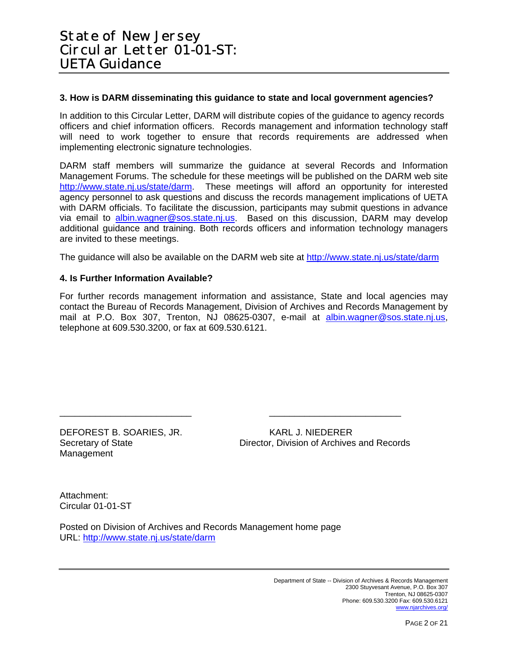#### **3. How is DARM disseminating this guidance to state and local government agencies?**

In addition to this Circular Letter, DARM will distribute copies of the guidance to agency records officers and chief information officers. Records management and information technology staff will need to work together to ensure that records requirements are addressed when implementing electronic signature technologies.

DARM staff members will summarize the guidance at several Records and Information Management Forums. The schedule for these meetings will be published on the DARM web site [http://www.state.nj.us/state/darm.](http://www.state.nj.us/state/darm) These meetings will afford an opportunity for interested agency personnel to ask questions and discuss the records management implications of UETA with DARM officials. To facilitate the discussion, participants may submit questions in advance via email to [albin.wagner@sos.state.nj.us](mailto:albin.wagner@sos.state.nj.us). Based on this discussion, DARM may develop additional guidance and training. Both records officers and information technology managers are invited to these meetings.

The guidance will also be available on the DARM web site at <http://www.state.nj.us/state/darm>

#### **4. Is Further Information Available?**

For further records management information and assistance, State and local agencies may contact the Bureau of Records Management, Division of Archives and Records Management by mail at P.O. Box 307, Trenton, NJ 08625-0307, e-mail at [albin.wagner@sos.state.nj.us,](mailto:albin.wagner@sos.state.nj.us) telephone at 609.530.3200, or fax at 609.530.6121.

\_\_\_\_\_\_\_\_\_\_\_\_\_\_\_\_\_\_\_\_\_\_\_\_\_\_ \_\_\_\_\_\_\_\_\_\_\_\_\_\_\_\_\_\_\_\_\_\_\_\_\_\_

DEFOREST B. SOARIES, JR. KARL J. NIEDERER Management

Secretary of State Director, Division of Archives and Records

Attachment: Circular 01-01-ST

Posted on Division of Archives and Records Management home page URL:<http://www.state.nj.us/state/darm>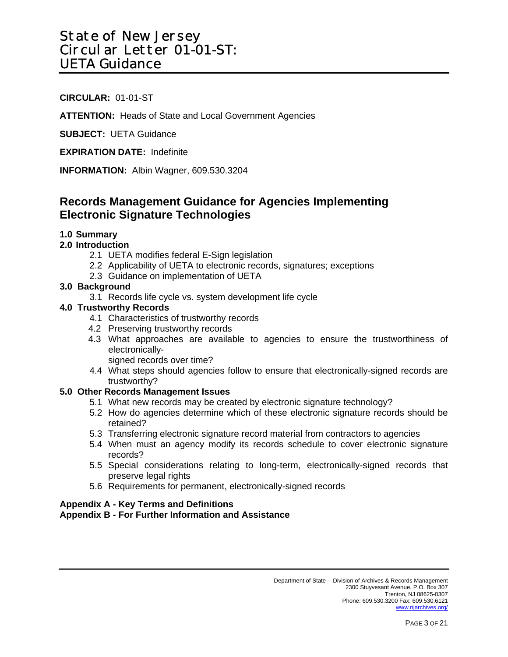## **CIRCULAR:** 01-01-ST

**ATTENTION:** Heads of State and Local Government Agencies

**SUBJECT:** UETA Guidance

**EXPIRATION DATE:** Indefinite

**INFORMATION:** Albin Wagner, 609.530.3204

## **Records Management Guidance for Agencies Implementing Electronic Signature Technologies**

### **1.0 Summary**

#### **2.0 Introduction**

- 2.1 UETA modifies federal E-Sign legislation
- 2.2 Applicability of UETA to electronic records, signatures; exceptions
- 2.3 Guidance on implementation of UETA

#### **3.0 Background**

3.1 Records life cycle vs. system development life cycle

#### **4.0 Trustworthy Records**

- 4.1 Characteristics of trustworthy records
- 4.2 Preserving trustworthy records
- 4.3 What approaches are available to agencies to ensure the trustworthiness of electronically-

signed records over time?

4.4 What steps should agencies follow to ensure that electronically-signed records are trustworthy?

#### **5.0 Other Records Management Issues**

- 5.1 What new records may be created by electronic signature technology?
- 5.2 How do agencies determine which of these electronic signature records should be retained?
- 5.3 Transferring electronic signature record material from contractors to agencies
- 5.4 When must an agency modify its records schedule to cover electronic signature records?
- 5.5 Special considerations relating to long-term, electronically-signed records that preserve legal rights
- 5.6 Requirements for permanent, electronically-signed records

#### **Appendix A - Key Terms and Definitions**

#### **Appendix B - For Further Information and Assistance**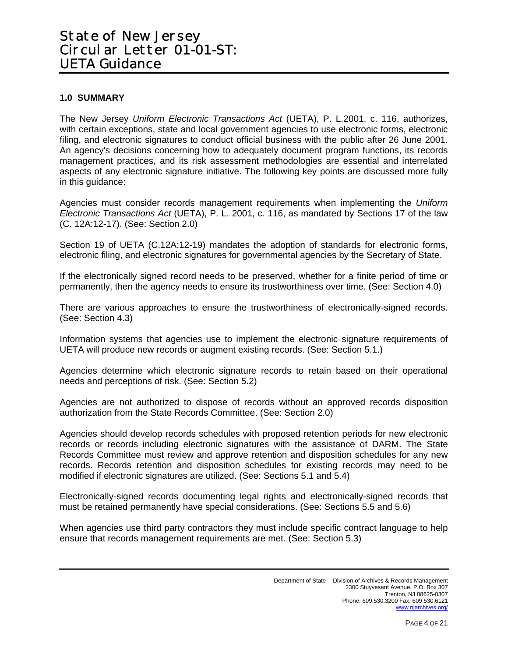## **1.0 SUMMARY**

The New Jersey *Uniform Electronic Transactions Act* (UETA), P. L.2001, c. 116, authorizes, with certain exceptions, state and local government agencies to use electronic forms, electronic filing, and electronic signatures to conduct official business with the public after 26 June 2001. An agency's decisions concerning how to adequately document program functions, its records management practices, and its risk assessment methodologies are essential and interrelated aspects of any electronic signature initiative. The following key points are discussed more fully in this guidance:

Agencies must consider records management requirements when implementing the *Uniform Electronic Transactions Act* (UETA), P. L. 2001, c. 116, as mandated by Sections 17 of the law (C. 12A:12-17). (See: Section 2.0)

Section 19 of UETA (C.12A:12-19) mandates the adoption of standards for electronic forms, electronic filing, and electronic signatures for governmental agencies by the Secretary of State.

If the electronically signed record needs to be preserved, whether for a finite period of time or permanently, then the agency needs to ensure its trustworthiness over time. (See: Section 4.0)

There are various approaches to ensure the trustworthiness of electronically-signed records. (See: Section 4.3)

Information systems that agencies use to implement the electronic signature requirements of UETA will produce new records or augment existing records. (See: Section 5.1.)

Agencies determine which electronic signature records to retain based on their operational needs and perceptions of risk. (See: Section 5.2)

Agencies are not authorized to dispose of records without an approved records disposition authorization from the State Records Committee. (See: Section 2.0)

Agencies should develop records schedules with proposed retention periods for new electronic records or records including electronic signatures with the assistance of DARM. The State Records Committee must review and approve retention and disposition schedules for any new records. Records retention and disposition schedules for existing records may need to be modified if electronic signatures are utilized. (See: Sections 5.1 and 5.4)

Electronically-signed records documenting legal rights and electronically-signed records that must be retained permanently have special considerations. (See: Sections 5.5 and 5.6)

When agencies use third party contractors they must include specific contract language to help ensure that records management requirements are met. (See: Section 5.3)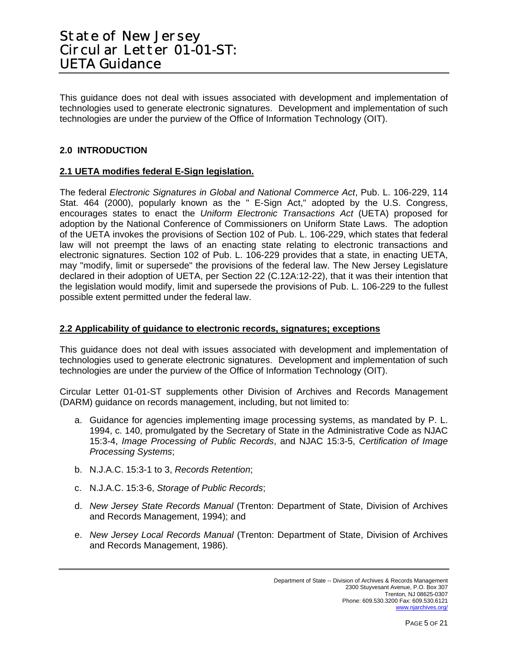This guidance does not deal with issues associated with development and implementation of technologies used to generate electronic signatures. Development and implementation of such technologies are under the purview of the Office of Information Technology (OIT).

### **2.0 INTRODUCTION**

### **2.1 UETA modifies federal E-Sign legislation.**

The federal *Electronic Signatures in Global and National Commerce Act*, Pub. L. 106-229, 114 Stat. 464 (2000), popularly known as the " E-Sign Act," adopted by the U.S. Congress, encourages states to enact the *Uniform Electronic Transactions Act* (UETA) proposed for adoption by the National Conference of Commissioners on Uniform State Laws. The adoption of the UETA invokes the provisions of Section 102 of Pub. L. 106-229, which states that federal law will not preempt the laws of an enacting state relating to electronic transactions and electronic signatures. Section 102 of Pub. L. 106-229 provides that a state, in enacting UETA, may "modify, limit or supersede" the provisions of the federal law. The New Jersey Legislature declared in their adoption of UETA, per Section 22 (C.12A:12-22), that it was their intention that the legislation would modify, limit and supersede the provisions of Pub. L. 106-229 to the fullest possible extent permitted under the federal law.

#### **2.2 Applicability of guidance to electronic records, signatures; exceptions**

This guidance does not deal with issues associated with development and implementation of technologies used to generate electronic signatures. Development and implementation of such technologies are under the purview of the Office of Information Technology (OIT).

Circular Letter 01-01-ST supplements other Division of Archives and Records Management (DARM) guidance on records management, including, but not limited to:

- a. Guidance for agencies implementing image processing systems, as mandated by P. L. 1994, c. 140, promulgated by the Secretary of State in the Administrative Code as NJAC 15:3-4, *Image Processing of Public Records*, and NJAC 15:3-5, *Certification of Image Processing Systems*;
- b. N.J.A.C. 15:3-1 to 3, *Records Retention*;
- c. N.J.A.C. 15:3-6, *Storage of Public Records*;
- d. *New Jersey State Records Manual* (Trenton: Department of State, Division of Archives and Records Management, 1994); and
- e. *New Jersey Local Records Manual* (Trenton: Department of State, Division of Archives and Records Management, 1986).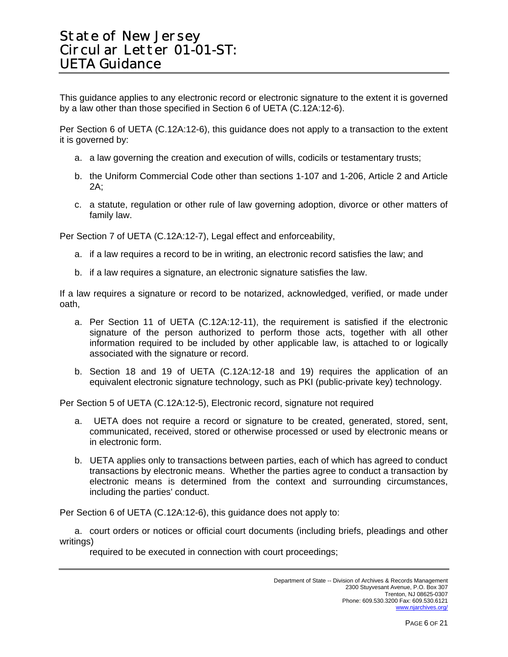This guidance applies to any electronic record or electronic signature to the extent it is governed by a law other than those specified in Section 6 of UETA (C.12A:12-6).

Per Section 6 of UETA (C.12A:12-6), this guidance does not apply to a transaction to the extent it is governed by:

- a. a law governing the creation and execution of wills, codicils or testamentary trusts;
- b. the Uniform Commercial Code other than sections 1-107 and 1-206, Article 2 and Article 2A;
- c. a statute, regulation or other rule of law governing adoption, divorce or other matters of family law.

Per Section 7 of UETA (C.12A:12-7), Legal effect and enforceability,

- a. if a law requires a record to be in writing, an electronic record satisfies the law; and
- b. if a law requires a signature, an electronic signature satisfies the law.

If a law requires a signature or record to be notarized, acknowledged, verified, or made under oath,

- a. Per Section 11 of UETA (C.12A:12-11), the requirement is satisfied if the electronic signature of the person authorized to perform those acts, together with all other information required to be included by other applicable law, is attached to or logically associated with the signature or record.
- b. Section 18 and 19 of UETA (C.12A:12-18 and 19) requires the application of an equivalent electronic signature technology, such as PKI (public-private key) technology.

Per Section 5 of UETA (C.12A:12-5), Electronic record, signature not required

- a. UETA does not require a record or signature to be created, generated, stored, sent, communicated, received, stored or otherwise processed or used by electronic means or in electronic form.
- b. UETA applies only to transactions between parties, each of which has agreed to conduct transactions by electronic means. Whether the parties agree to conduct a transaction by electronic means is determined from the context and surrounding circumstances, including the parties' conduct.

Per Section 6 of UETA (C.12A:12-6), this guidance does not apply to:

a. court orders or notices or official court documents (including briefs, pleadings and other writings)

required to be executed in connection with court proceedings;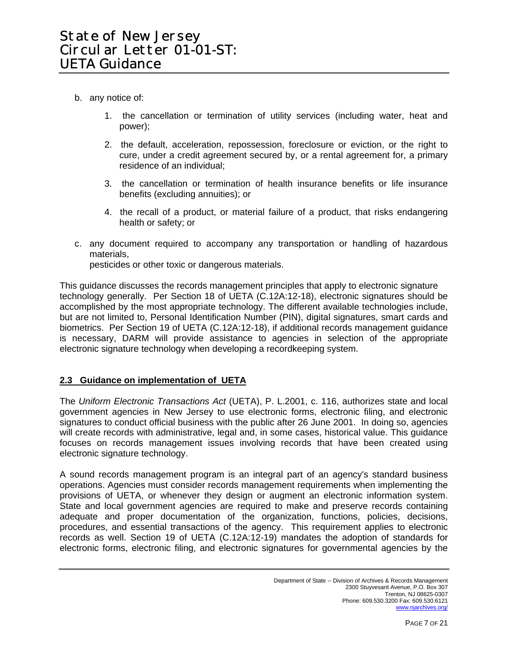- b. any notice of:
	- 1. the cancellation or termination of utility services (including water, heat and power);
	- 2. the default, acceleration, repossession, foreclosure or eviction, or the right to cure, under a credit agreement secured by, or a rental agreement for, a primary residence of an individual;
	- 3. the cancellation or termination of health insurance benefits or life insurance benefits (excluding annuities); or
	- 4. the recall of a product, or material failure of a product, that risks endangering health or safety; or
- c. any document required to accompany any transportation or handling of hazardous materials,

pesticides or other toxic or dangerous materials.

This guidance discusses the records management principles that apply to electronic signature technology generally. Per Section 18 of UETA (C.12A:12-18), electronic signatures should be accomplished by the most appropriate technology. The different available technologies include, but are not limited to, Personal Identification Number (PIN), digital signatures, smart cards and biometrics. Per Section 19 of UETA (C.12A:12-18), if additional records management guidance is necessary, DARM will provide assistance to agencies in selection of the appropriate electronic signature technology when developing a recordkeeping system.

### **2.3 Guidance on implementation of UETA**

The *Uniform Electronic Transactions Act* (UETA), P. L.2001, c. 116, authorizes state and local government agencies in New Jersey to use electronic forms, electronic filing, and electronic signatures to conduct official business with the public after 26 June 2001. In doing so, agencies will create records with administrative, legal and, in some cases, historical value. This guidance focuses on records management issues involving records that have been created using electronic signature technology.

A sound records management program is an integral part of an agency's standard business operations. Agencies must consider records management requirements when implementing the provisions of UETA, or whenever they design or augment an electronic information system. State and local government agencies are required to make and preserve records containing adequate and proper documentation of the organization, functions, policies, decisions, procedures, and essential transactions of the agency. This requirement applies to electronic records as well. Section 19 of UETA (C.12A:12-19) mandates the adoption of standards for electronic forms, electronic filing, and electronic signatures for governmental agencies by the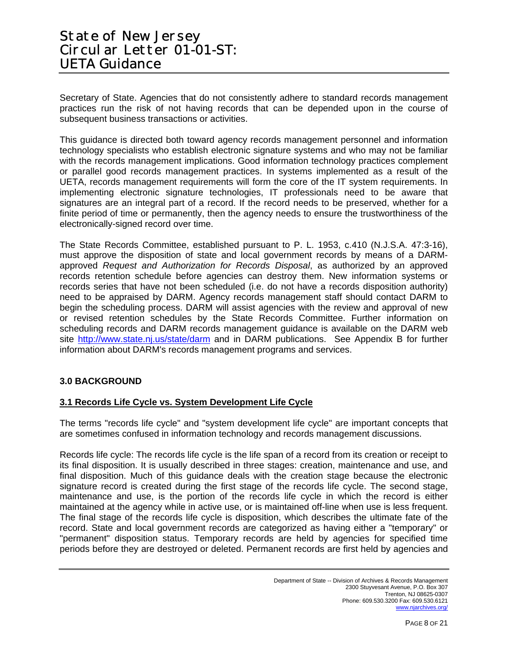Secretary of State. Agencies that do not consistently adhere to standard records management practices run the risk of not having records that can be depended upon in the course of subsequent business transactions or activities.

This guidance is directed both toward agency records management personnel and information technology specialists who establish electronic signature systems and who may not be familiar with the records management implications. Good information technology practices complement or parallel good records management practices. In systems implemented as a result of the UETA, records management requirements will form the core of the IT system requirements. In implementing electronic signature technologies, IT professionals need to be aware that signatures are an integral part of a record. If the record needs to be preserved, whether for a finite period of time or permanently, then the agency needs to ensure the trustworthiness of the electronically-signed record over time.

The State Records Committee, established pursuant to P. L. 1953, c.410 (N.J.S.A. 47:3-16), must approve the disposition of state and local government records by means of a DARMapproved *Request and Authorization for Records Disposal*, as authorized by an approved records retention schedule before agencies can destroy them. New information systems or records series that have not been scheduled (i.e. do not have a records disposition authority) need to be appraised by DARM. Agency records management staff should contact DARM to begin the scheduling process. DARM will assist agencies with the review and approval of new or revised retention schedules by the State Records Committee. Further information on scheduling records and DARM records management guidance is available on the DARM web site <http://www.state.nj.us/state/darm>and in DARM publications. See Appendix B for further information about DARM's records management programs and services.

### **3.0 BACKGROUND**

### **3.1 Records Life Cycle vs. System Development Life Cycle**

The terms "records life cycle" and "system development life cycle" are important concepts that are sometimes confused in information technology and records management discussions.

Records life cycle: The records life cycle is the life span of a record from its creation or receipt to its final disposition. It is usually described in three stages: creation, maintenance and use, and final disposition. Much of this guidance deals with the creation stage because the electronic signature record is created during the first stage of the records life cycle. The second stage, maintenance and use, is the portion of the records life cycle in which the record is either maintained at the agency while in active use, or is maintained off-line when use is less frequent. The final stage of the records life cycle is disposition, which describes the ultimate fate of the record. State and local government records are categorized as having either a "temporary" or "permanent" disposition status. Temporary records are held by agencies for specified time periods before they are destroyed or deleted. Permanent records are first held by agencies and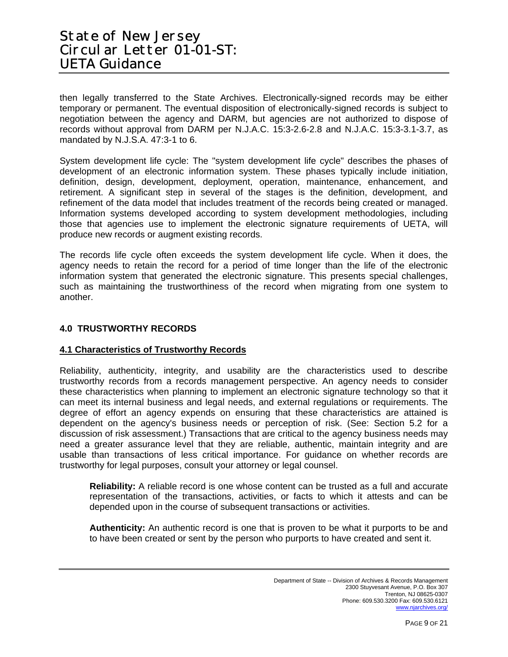then legally transferred to the State Archives. Electronically-signed records may be either temporary or permanent. The eventual disposition of electronically-signed records is subject to negotiation between the agency and DARM, but agencies are not authorized to dispose of records without approval from DARM per N.J.A.C. 15:3-2.6-2.8 and N.J.A.C. 15:3-3.1-3.7, as mandated by N.J.S.A. 47:3-1 to 6.

System development life cycle: The "system development life cycle" describes the phases of development of an electronic information system. These phases typically include initiation, definition, design, development, deployment, operation, maintenance, enhancement, and retirement. A significant step in several of the stages is the definition, development, and refinement of the data model that includes treatment of the records being created or managed. Information systems developed according to system development methodologies, including those that agencies use to implement the electronic signature requirements of UETA, will produce new records or augment existing records.

The records life cycle often exceeds the system development life cycle. When it does, the agency needs to retain the record for a period of time longer than the life of the electronic information system that generated the electronic signature. This presents special challenges, such as maintaining the trustworthiness of the record when migrating from one system to another.

### **4.0 TRUSTWORTHY RECORDS**

### **4.1 Characteristics of Trustworthy Records**

Reliability, authenticity, integrity, and usability are the characteristics used to describe trustworthy records from a records management perspective. An agency needs to consider these characteristics when planning to implement an electronic signature technology so that it can meet its internal business and legal needs, and external regulations or requirements. The degree of effort an agency expends on ensuring that these characteristics are attained is dependent on the agency's business needs or perception of risk. (See: Section 5.2 for a discussion of risk assessment.) Transactions that are critical to the agency business needs may need a greater assurance level that they are reliable, authentic, maintain integrity and are usable than transactions of less critical importance. For guidance on whether records are trustworthy for legal purposes, consult your attorney or legal counsel.

**Reliability:** A reliable record is one whose content can be trusted as a full and accurate representation of the transactions, activities, or facts to which it attests and can be depended upon in the course of subsequent transactions or activities.

**Authenticity:** An authentic record is one that is proven to be what it purports to be and to have been created or sent by the person who purports to have created and sent it.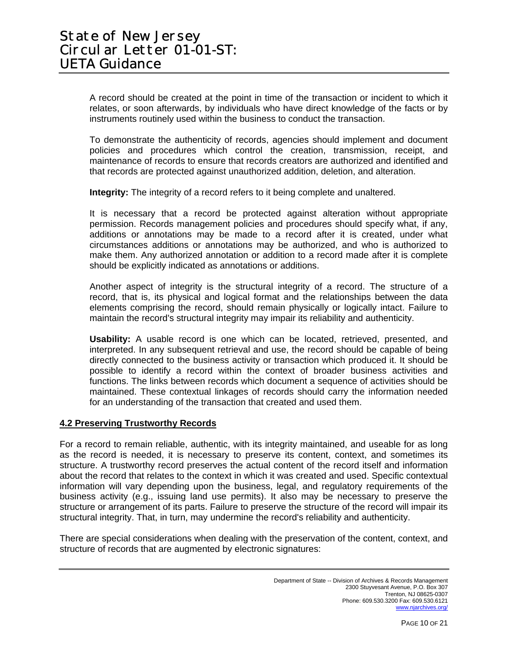A record should be created at the point in time of the transaction or incident to which it relates, or soon afterwards, by individuals who have direct knowledge of the facts or by instruments routinely used within the business to conduct the transaction.

To demonstrate the authenticity of records, agencies should implement and document policies and procedures which control the creation, transmission, receipt, and maintenance of records to ensure that records creators are authorized and identified and that records are protected against unauthorized addition, deletion, and alteration.

**Integrity:** The integrity of a record refers to it being complete and unaltered.

It is necessary that a record be protected against alteration without appropriate permission. Records management policies and procedures should specify what, if any, additions or annotations may be made to a record after it is created, under what circumstances additions or annotations may be authorized, and who is authorized to make them. Any authorized annotation or addition to a record made after it is complete should be explicitly indicated as annotations or additions.

Another aspect of integrity is the structural integrity of a record. The structure of a record, that is, its physical and logical format and the relationships between the data elements comprising the record, should remain physically or logically intact. Failure to maintain the record's structural integrity may impair its reliability and authenticity.

**Usability:** A usable record is one which can be located, retrieved, presented, and interpreted. In any subsequent retrieval and use, the record should be capable of being directly connected to the business activity or transaction which produced it. It should be possible to identify a record within the context of broader business activities and functions. The links between records which document a sequence of activities should be maintained. These contextual linkages of records should carry the information needed for an understanding of the transaction that created and used them.

#### **4.2 Preserving Trustworthy Records**

For a record to remain reliable, authentic, with its integrity maintained, and useable for as long as the record is needed, it is necessary to preserve its content, context, and sometimes its structure. A trustworthy record preserves the actual content of the record itself and information about the record that relates to the context in which it was created and used. Specific contextual information will vary depending upon the business, legal, and regulatory requirements of the business activity (e.g., issuing land use permits). It also may be necessary to preserve the structure or arrangement of its parts. Failure to preserve the structure of the record will impair its structural integrity. That, in turn, may undermine the record's reliability and authenticity.

There are special considerations when dealing with the preservation of the content, context, and structure of records that are augmented by electronic signatures: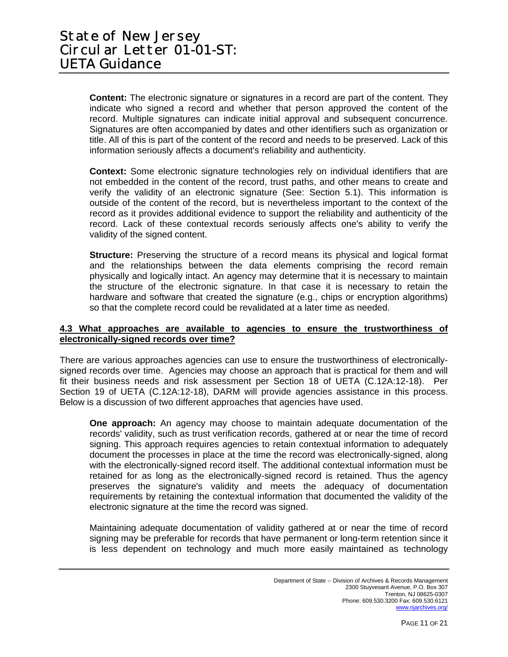**Content:** The electronic signature or signatures in a record are part of the content. They indicate who signed a record and whether that person approved the content of the record. Multiple signatures can indicate initial approval and subsequent concurrence. Signatures are often accompanied by dates and other identifiers such as organization or title. All of this is part of the content of the record and needs to be preserved. Lack of this information seriously affects a document's reliability and authenticity.

**Context:** Some electronic signature technologies rely on individual identifiers that are not embedded in the content of the record, trust paths, and other means to create and verify the validity of an electronic signature (See: Section 5.1). This information is outside of the content of the record, but is nevertheless important to the context of the record as it provides additional evidence to support the reliability and authenticity of the record. Lack of these contextual records seriously affects one's ability to verify the validity of the signed content.

**Structure:** Preserving the structure of a record means its physical and logical format and the relationships between the data elements comprising the record remain physically and logically intact. An agency may determine that it is necessary to maintain the structure of the electronic signature. In that case it is necessary to retain the hardware and software that created the signature (e.g., chips or encryption algorithms) so that the complete record could be revalidated at a later time as needed.

#### **4.3 What approaches are available to agencies to ensure the trustworthiness of electronically-signed records over time?**

There are various approaches agencies can use to ensure the trustworthiness of electronicallysigned records over time. Agencies may choose an approach that is practical for them and will fit their business needs and risk assessment per Section 18 of UETA (C.12A:12-18). Per Section 19 of UETA (C.12A:12-18), DARM will provide agencies assistance in this process. Below is a discussion of two different approaches that agencies have used.

**One approach:** An agency may choose to maintain adequate documentation of the records' validity, such as trust verification records, gathered at or near the time of record signing. This approach requires agencies to retain contextual information to adequately document the processes in place at the time the record was electronically-signed, along with the electronically-signed record itself. The additional contextual information must be retained for as long as the electronically-signed record is retained. Thus the agency preserves the signature's validity and meets the adequacy of documentation requirements by retaining the contextual information that documented the validity of the electronic signature at the time the record was signed.

Maintaining adequate documentation of validity gathered at or near the time of record signing may be preferable for records that have permanent or long-term retention since it is less dependent on technology and much more easily maintained as technology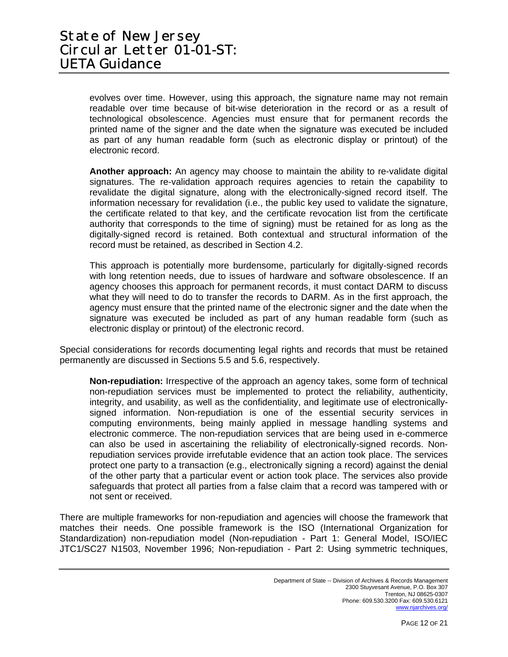evolves over time. However, using this approach, the signature name may not remain readable over time because of bit-wise deterioration in the record or as a result of technological obsolescence. Agencies must ensure that for permanent records the printed name of the signer and the date when the signature was executed be included as part of any human readable form (such as electronic display or printout) of the electronic record.

**Another approach:** An agency may choose to maintain the ability to re-validate digital signatures. The re-validation approach requires agencies to retain the capability to revalidate the digital signature, along with the electronically-signed record itself. The information necessary for revalidation (i.e., the public key used to validate the signature, the certificate related to that key, and the certificate revocation list from the certificate authority that corresponds to the time of signing) must be retained for as long as the digitally-signed record is retained. Both contextual and structural information of the record must be retained, as described in Section 4.2.

This approach is potentially more burdensome, particularly for digitally-signed records with long retention needs, due to issues of hardware and software obsolescence. If an agency chooses this approach for permanent records, it must contact DARM to discuss what they will need to do to transfer the records to DARM. As in the first approach, the agency must ensure that the printed name of the electronic signer and the date when the signature was executed be included as part of any human readable form (such as electronic display or printout) of the electronic record.

Special considerations for records documenting legal rights and records that must be retained permanently are discussed in Sections 5.5 and 5.6, respectively.

**Non-repudiation:** Irrespective of the approach an agency takes, some form of technical non-repudiation services must be implemented to protect the reliability, authenticity, integrity, and usability, as well as the confidentiality, and legitimate use of electronicallysigned information. Non-repudiation is one of the essential security services in computing environments, being mainly applied in message handling systems and electronic commerce. The non-repudiation services that are being used in e-commerce can also be used in ascertaining the reliability of electronically-signed records. Nonrepudiation services provide irrefutable evidence that an action took place. The services protect one party to a transaction (e.g., electronically signing a record) against the denial of the other party that a particular event or action took place. The services also provide safeguards that protect all parties from a false claim that a record was tampered with or not sent or received.

There are multiple frameworks for non-repudiation and agencies will choose the framework that matches their needs. One possible framework is the ISO (International Organization for Standardization) non-repudiation model (Non-repudiation - Part 1: General Model, ISO/IEC JTC1/SC27 N1503, November 1996; Non-repudiation - Part 2: Using symmetric techniques,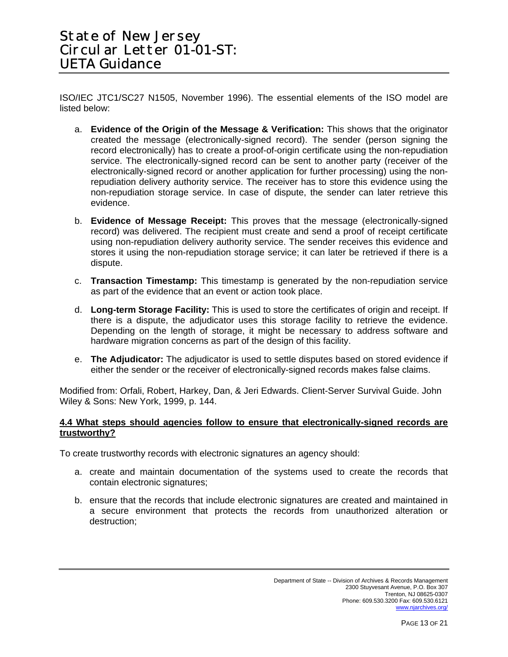ISO/IEC JTC1/SC27 N1505, November 1996). The essential elements of the ISO model are listed below:

- a. **Evidence of the Origin of the Message & Verification:** This shows that the originator created the message (electronically-signed record). The sender (person signing the record electronically) has to create a proof-of-origin certificate using the non-repudiation service. The electronically-signed record can be sent to another party (receiver of the electronically-signed record or another application for further processing) using the nonrepudiation delivery authority service. The receiver has to store this evidence using the non-repudiation storage service. In case of dispute, the sender can later retrieve this evidence.
- b. **Evidence of Message Receipt:** This proves that the message (electronically-signed record) was delivered. The recipient must create and send a proof of receipt certificate using non-repudiation delivery authority service. The sender receives this evidence and stores it using the non-repudiation storage service; it can later be retrieved if there is a dispute.
- c. **Transaction Timestamp:** This timestamp is generated by the non-repudiation service as part of the evidence that an event or action took place.
- d. **Long-term Storage Facility:** This is used to store the certificates of origin and receipt. If there is a dispute, the adjudicator uses this storage facility to retrieve the evidence. Depending on the length of storage, it might be necessary to address software and hardware migration concerns as part of the design of this facility.
- e. **The Adjudicator:** The adjudicator is used to settle disputes based on stored evidence if either the sender or the receiver of electronically-signed records makes false claims.

Modified from: Orfali, Robert, Harkey, Dan, & Jeri Edwards. Client-Server Survival Guide. John Wiley & Sons: New York, 1999, p. 144.

#### **4.4 What steps should agencies follow to ensure that electronically-signed records are trustworthy?**

To create trustworthy records with electronic signatures an agency should:

- a. create and maintain documentation of the systems used to create the records that contain electronic signatures;
- b. ensure that the records that include electronic signatures are created and maintained in a secure environment that protects the records from unauthorized alteration or destruction;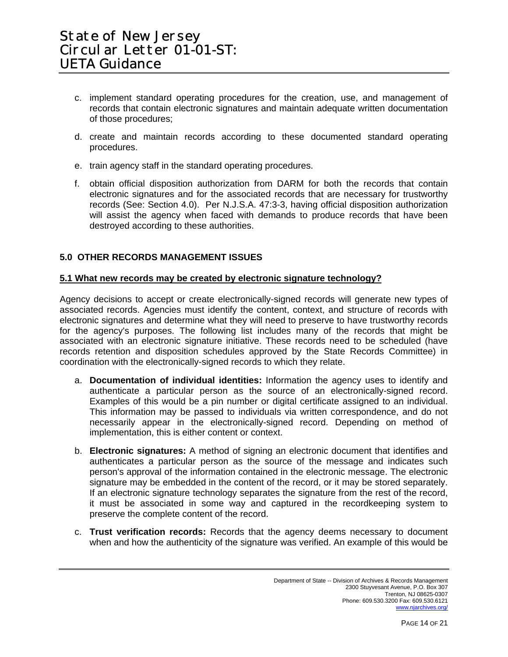- c. implement standard operating procedures for the creation, use, and management of records that contain electronic signatures and maintain adequate written documentation of those procedures;
- d. create and maintain records according to these documented standard operating procedures.
- e. train agency staff in the standard operating procedures.
- f. obtain official disposition authorization from DARM for both the records that contain electronic signatures and for the associated records that are necessary for trustworthy records (See: Section 4.0). Per N.J.S.A. 47:3-3, having official disposition authorization will assist the agency when faced with demands to produce records that have been destroyed according to these authorities.

## **5.0 OTHER RECORDS MANAGEMENT ISSUES**

#### **5.1 What new records may be created by electronic signature technology?**

Agency decisions to accept or create electronically-signed records will generate new types of associated records. Agencies must identify the content, context, and structure of records with electronic signatures and determine what they will need to preserve to have trustworthy records for the agency's purposes. The following list includes many of the records that might be associated with an electronic signature initiative. These records need to be scheduled (have records retention and disposition schedules approved by the State Records Committee) in coordination with the electronically-signed records to which they relate.

- a. **Documentation of individual identities:** Information the agency uses to identify and authenticate a particular person as the source of an electronically-signed record. Examples of this would be a pin number or digital certificate assigned to an individual. This information may be passed to individuals via written correspondence, and do not necessarily appear in the electronically-signed record. Depending on method of implementation, this is either content or context.
- b. **Electronic signatures:** A method of signing an electronic document that identifies and authenticates a particular person as the source of the message and indicates such person's approval of the information contained in the electronic message. The electronic signature may be embedded in the content of the record, or it may be stored separately. If an electronic signature technology separates the signature from the rest of the record, it must be associated in some way and captured in the recordkeeping system to preserve the complete content of the record.
- c. **Trust verification records:** Records that the agency deems necessary to document when and how the authenticity of the signature was verified. An example of this would be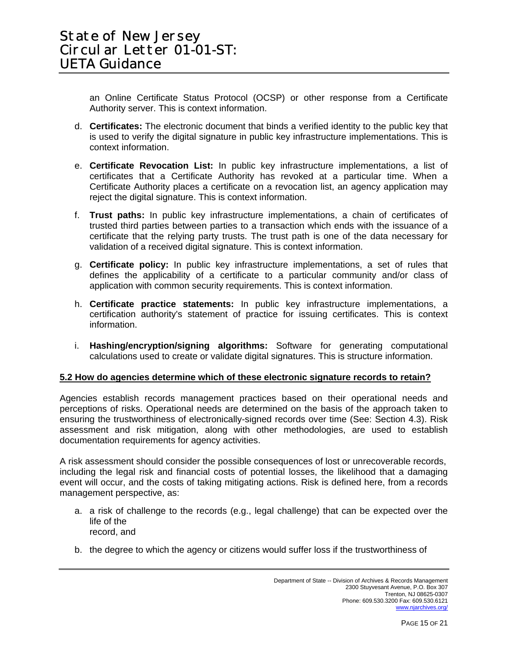an Online Certificate Status Protocol (OCSP) or other response from a Certificate Authority server. This is context information.

- d. **Certificates:** The electronic document that binds a verified identity to the public key that is used to verify the digital signature in public key infrastructure implementations. This is context information.
- e. **Certificate Revocation List:** In public key infrastructure implementations, a list of certificates that a Certificate Authority has revoked at a particular time. When a Certificate Authority places a certificate on a revocation list, an agency application may reject the digital signature. This is context information.
- f. **Trust paths:** In public key infrastructure implementations, a chain of certificates of trusted third parties between parties to a transaction which ends with the issuance of a certificate that the relying party trusts. The trust path is one of the data necessary for validation of a received digital signature. This is context information.
- g. **Certificate policy:** In public key infrastructure implementations, a set of rules that defines the applicability of a certificate to a particular community and/or class of application with common security requirements. This is context information.
- h. **Certificate practice statements:** In public key infrastructure implementations, a certification authority's statement of practice for issuing certificates. This is context information.
- i. **Hashing/encryption/signing algorithms:** Software for generating computational calculations used to create or validate digital signatures. This is structure information.

### **5.2 How do agencies determine which of these electronic signature records to retain?**

Agencies establish records management practices based on their operational needs and perceptions of risks. Operational needs are determined on the basis of the approach taken to ensuring the trustworthiness of electronically-signed records over time (See: Section 4.3). Risk assessment and risk mitigation, along with other methodologies, are used to establish documentation requirements for agency activities.

A risk assessment should consider the possible consequences of lost or unrecoverable records, including the legal risk and financial costs of potential losses, the likelihood that a damaging event will occur, and the costs of taking mitigating actions. Risk is defined here, from a records management perspective, as:

- a. a risk of challenge to the records (e.g., legal challenge) that can be expected over the life of the record, and
- b. the degree to which the agency or citizens would suffer loss if the trustworthiness of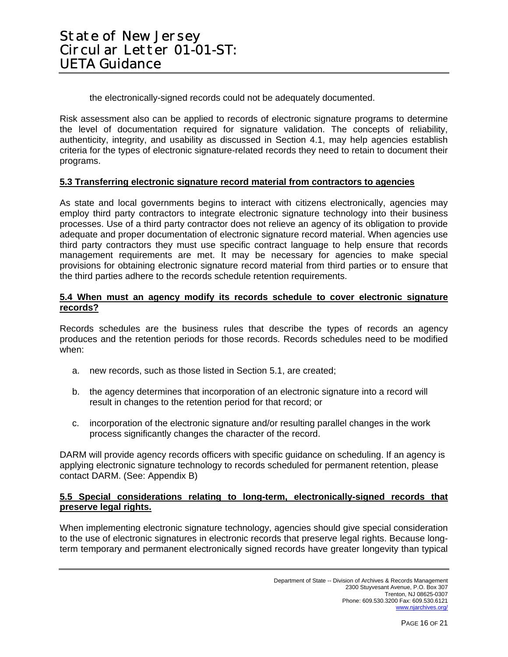the electronically-signed records could not be adequately documented.

Risk assessment also can be applied to records of electronic signature programs to determine the level of documentation required for signature validation. The concepts of reliability, authenticity, integrity, and usability as discussed in Section 4.1, may help agencies establish criteria for the types of electronic signature-related records they need to retain to document their programs.

#### **5.3 Transferring electronic signature record material from contractors to agencies**

As state and local governments begins to interact with citizens electronically, agencies may employ third party contractors to integrate electronic signature technology into their business processes. Use of a third party contractor does not relieve an agency of its obligation to provide adequate and proper documentation of electronic signature record material. When agencies use third party contractors they must use specific contract language to help ensure that records management requirements are met. It may be necessary for agencies to make special provisions for obtaining electronic signature record material from third parties or to ensure that the third parties adhere to the records schedule retention requirements.

#### **5.4 When must an agency modify its records schedule to cover electronic signature records?**

Records schedules are the business rules that describe the types of records an agency produces and the retention periods for those records. Records schedules need to be modified when:

- a. new records, such as those listed in Section 5.1, are created;
- b. the agency determines that incorporation of an electronic signature into a record will result in changes to the retention period for that record; or
- c. incorporation of the electronic signature and/or resulting parallel changes in the work process significantly changes the character of the record.

DARM will provide agency records officers with specific guidance on scheduling. If an agency is applying electronic signature technology to records scheduled for permanent retention, please contact DARM. (See: Appendix B)

### **5.5 Special considerations relating to long-term, electronically-signed records that preserve legal rights.**

When implementing electronic signature technology, agencies should give special consideration to the use of electronic signatures in electronic records that preserve legal rights. Because longterm temporary and permanent electronically signed records have greater longevity than typical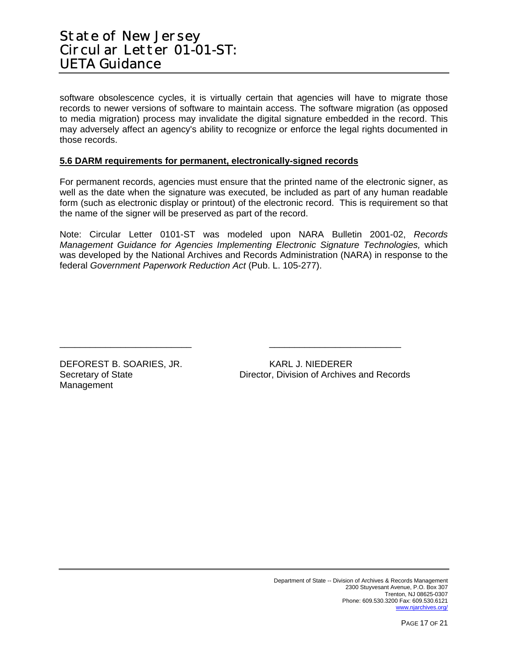software obsolescence cycles, it is virtually certain that agencies will have to migrate those records to newer versions of software to maintain access. The software migration (as opposed to media migration) process may invalidate the digital signature embedded in the record. This may adversely affect an agency's ability to recognize or enforce the legal rights documented in those records.

#### **5.6 DARM requirements for permanent, electronically-signed records**

For permanent records, agencies must ensure that the printed name of the electronic signer, as well as the date when the signature was executed, be included as part of any human readable form (such as electronic display or printout) of the electronic record. This is requirement so that the name of the signer will be preserved as part of the record.

Note: Circular Letter 0101-ST was modeled upon NARA Bulletin 2001-02, *Records Management Guidance for Agencies Implementing Electronic Signature Technologies,* which was developed by the National Archives and Records Administration (NARA) in response to the federal *Government Paperwork Reduction Act* (Pub. L. 105-277).

\_\_\_\_\_\_\_\_\_\_\_\_\_\_\_\_\_\_\_\_\_\_\_\_\_\_ \_\_\_\_\_\_\_\_\_\_\_\_\_\_\_\_\_\_\_\_\_\_\_\_\_\_

DEFOREST B. SOARIES, JR. KARL J. NIEDERER Management

Secretary of State **Director, Division of Archives and Records**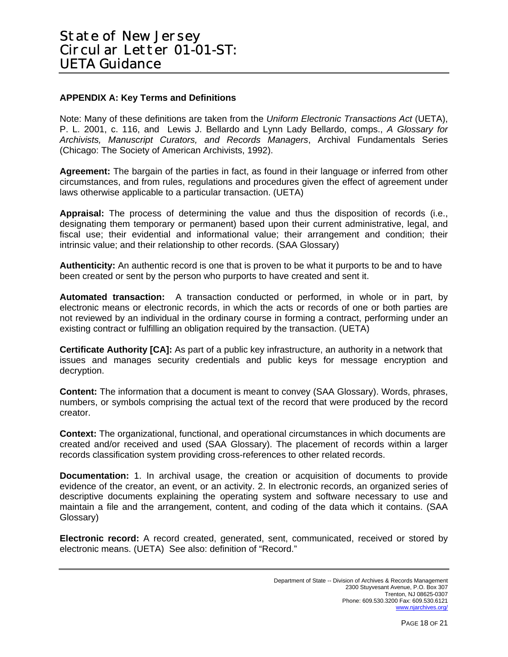#### **APPENDIX A: Key Terms and Definitions**

Note: Many of these definitions are taken from the *Uniform Electronic Transactions Act* (UETA), P. L. 2001, c. 116, and Lewis J. Bellardo and Lynn Lady Bellardo, comps., *A Glossary for Archivists, Manuscript Curators, and Records Managers*, Archival Fundamentals Series (Chicago: The Society of American Archivists, 1992).

**Agreement:** The bargain of the parties in fact, as found in their language or inferred from other circumstances, and from rules, regulations and procedures given the effect of agreement under laws otherwise applicable to a particular transaction. (UETA)

**Appraisal:** The process of determining the value and thus the disposition of records (i.e., designating them temporary or permanent) based upon their current administrative, legal, and fiscal use; their evidential and informational value; their arrangement and condition; their intrinsic value; and their relationship to other records. (SAA Glossary)

**Authenticity:** An authentic record is one that is proven to be what it purports to be and to have been created or sent by the person who purports to have created and sent it.

**Automated transaction:** A transaction conducted or performed, in whole or in part, by electronic means or electronic records, in which the acts or records of one or both parties are not reviewed by an individual in the ordinary course in forming a contract, performing under an existing contract or fulfilling an obligation required by the transaction. (UETA)

**Certificate Authority [CA]:** As part of a public key infrastructure, an authority in a network that issues and manages security credentials and public keys for message encryption and decryption.

**Content:** The information that a document is meant to convey (SAA Glossary). Words, phrases, numbers, or symbols comprising the actual text of the record that were produced by the record creator.

**Context:** The organizational, functional, and operational circumstances in which documents are created and/or received and used (SAA Glossary). The placement of records within a larger records classification system providing cross-references to other related records.

**Documentation:** 1. In archival usage, the creation or acquisition of documents to provide evidence of the creator, an event, or an activity. 2. In electronic records, an organized series of descriptive documents explaining the operating system and software necessary to use and maintain a file and the arrangement, content, and coding of the data which it contains. (SAA Glossary)

**Electronic record:** A record created, generated, sent, communicated, received or stored by electronic means. (UETA) See also: definition of "Record."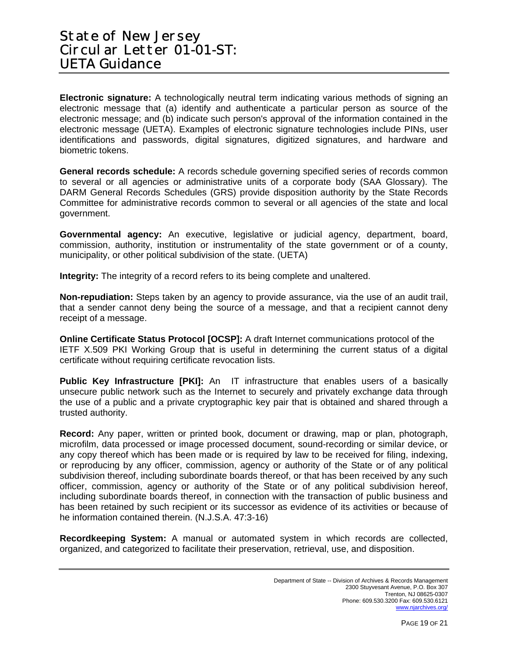**Electronic signature:** A technologically neutral term indicating various methods of signing an electronic message that (a) identify and authenticate a particular person as source of the electronic message; and (b) indicate such person's approval of the information contained in the electronic message (UETA). Examples of electronic signature technologies include PINs, user identifications and passwords, digital signatures, digitized signatures, and hardware and biometric tokens.

**General records schedule:** A records schedule governing specified series of records common to several or all agencies or administrative units of a corporate body (SAA Glossary). The DARM General Records Schedules (GRS) provide disposition authority by the State Records Committee for administrative records common to several or all agencies of the state and local government.

**Governmental agency:** An executive, legislative or judicial agency, department, board, commission, authority, institution or instrumentality of the state government or of a county, municipality, or other political subdivision of the state. (UETA)

**Integrity:** The integrity of a record refers to its being complete and unaltered.

**Non-repudiation:** Steps taken by an agency to provide assurance, via the use of an audit trail, that a sender cannot deny being the source of a message, and that a recipient cannot deny receipt of a message.

**Online Certificate Status Protocol [OCSP]:** A draft Internet communications protocol of the IETF X.509 PKI Working Group that is useful in determining the current status of a digital certificate without requiring certificate revocation lists.

**Public Key Infrastructure [PKI]:** An IT infrastructure that enables users of a basically unsecure public network such as the Internet to securely and privately exchange data through the use of a public and a private cryptographic key pair that is obtained and shared through a trusted authority.

**Record:** Any paper, written or printed book, document or drawing, map or plan, photograph, microfilm, data processed or image processed document, sound-recording or similar device, or any copy thereof which has been made or is required by law to be received for filing, indexing, or reproducing by any officer, commission, agency or authority of the State or of any political subdivision thereof, including subordinate boards thereof, or that has been received by any such officer, commission, agency or authority of the State or of any political subdivision hereof, including subordinate boards thereof, in connection with the transaction of public business and has been retained by such recipient or its successor as evidence of its activities or because of he information contained therein. (N.J.S.A. 47:3-16)

**Recordkeeping System:** A manual or automated system in which records are collected, organized, and categorized to facilitate their preservation, retrieval, use, and disposition.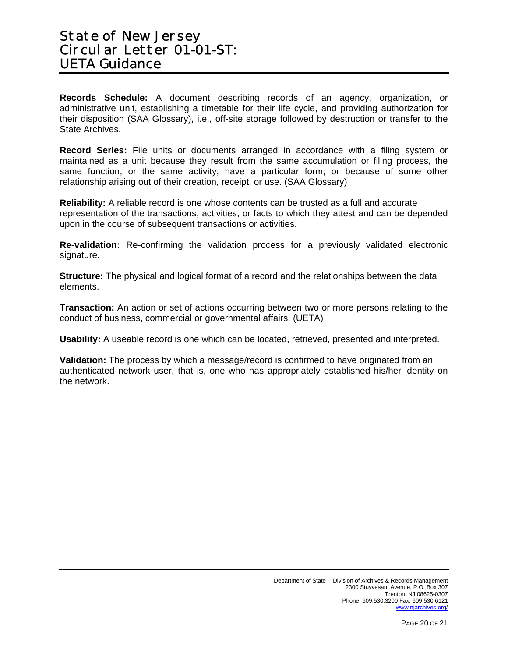**Records Schedule:** A document describing records of an agency, organization, or administrative unit, establishing a timetable for their life cycle, and providing authorization for their disposition (SAA Glossary), i.e., off-site storage followed by destruction or transfer to the State Archives.

**Record Series:** File units or documents arranged in accordance with a filing system or maintained as a unit because they result from the same accumulation or filing process, the same function, or the same activity; have a particular form; or because of some other relationship arising out of their creation, receipt, or use. (SAA Glossary)

**Reliability:** A reliable record is one whose contents can be trusted as a full and accurate representation of the transactions, activities, or facts to which they attest and can be depended upon in the course of subsequent transactions or activities.

**Re-validation:** Re-confirming the validation process for a previously validated electronic signature.

**Structure:** The physical and logical format of a record and the relationships between the data elements.

**Transaction:** An action or set of actions occurring between two or more persons relating to the conduct of business, commercial or governmental affairs. (UETA)

**Usability:** A useable record is one which can be located, retrieved, presented and interpreted.

**Validation:** The process by which a message/record is confirmed to have originated from an authenticated network user, that is, one who has appropriately established his/her identity on the network.